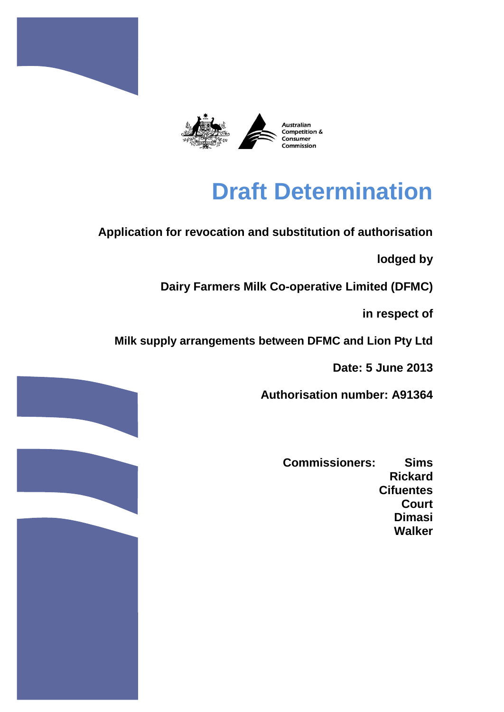



# **Draft Determination**

# **Application for revocation and substitution of authorisation**

**lodged by**

**Dairy Farmers Milk Co-operative Limited (DFMC)**

**in respect of**

**Milk supply arrangements between DFMC and Lion Pty Ltd**

**Date: 5 June 2013**

**Authorisation number: A91364**

**Commissioners: Sims Rickard Cifuentes Court Dimasi Walker**

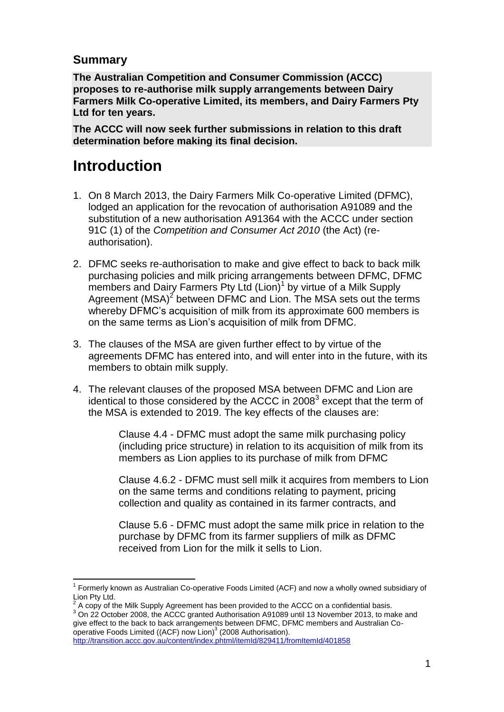### **Summary**

**The Australian Competition and Consumer Commission (ACCC) proposes to re-authorise milk supply arrangements between Dairy Farmers Milk Co-operative Limited, its members, and Dairy Farmers Pty Ltd for ten years.** 

**The ACCC will now seek further submissions in relation to this draft determination before making its final decision.** 

# **Introduction**

- 1. On 8 March 2013, the Dairy Farmers Milk Co-operative Limited (DFMC), lodged an application for the revocation of authorisation A91089 and the substitution of a new authorisation A91364 with the ACCC under section 91C (1) of the *Competition and Consumer Act 2010* (the Act) (reauthorisation).
- 2. DFMC seeks re-authorisation to make and give effect to back to back milk purchasing policies and milk pricing arrangements between DFMC, DFMC members and Dairy Farmers Pty Ltd (Lion)<sup>1</sup> by virtue of a Milk Supply Agreement (MSA)<sup>2</sup> between DFMC and Lion. The MSA sets out the terms whereby DFMC's acquisition of milk from its approximate 600 members is on the same terms as Lion's acquisition of milk from DFMC.
- 3. The clauses of the MSA are given further effect to by virtue of the agreements DFMC has entered into, and will enter into in the future, with its members to obtain milk supply.
- 4. The relevant clauses of the proposed MSA between DFMC and Lion are identical to those considered by the ACCC in 2008 $3$  except that the term of the MSA is extended to 2019. The key effects of the clauses are:

Clause 4.4 - DFMC must adopt the same milk purchasing policy (including price structure) in relation to its acquisition of milk from its members as Lion applies to its purchase of milk from DFMC

Clause 4.6.2 - DFMC must sell milk it acquires from members to Lion on the same terms and conditions relating to payment, pricing collection and quality as contained in its farmer contracts, and

Clause 5.6 - DFMC must adopt the same milk price in relation to the purchase by DFMC from its farmer suppliers of milk as DFMC received from Lion for the milk it sells to Lion.

2 A copy of the Milk Supply Agreement has been provided to the ACCC on a confidential basis.

<sup>3</sup> On 22 October 2008, the ACCC granted Authorisation A91089 until 13 November 2013, to make and give effect to the back to back arrangements between DFMC, DFMC members and Australian Cooperative Foods Limited ((ACF) now Lion)<sup>3</sup> (2008 Authorisation).

<http://transition.accc.gov.au/content/index.phtml/itemId/829411/fromItemId/401858>

l <sup>1</sup> Formerly known as Australian Co-operative Foods Limited (ACF) and now a wholly owned subsidiary of Lion Pty Ltd.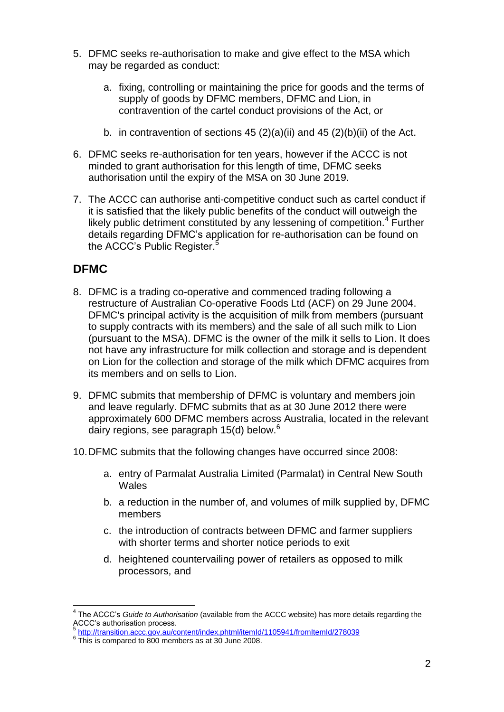- 5. DFMC seeks re-authorisation to make and give effect to the MSA which may be regarded as conduct:
	- a. fixing, controlling or maintaining the price for goods and the terms of supply of goods by DFMC members, DFMC and Lion, in contravention of the cartel conduct provisions of the Act, or
	- b. in contravention of sections 45  $(2)(a)(ii)$  and 45  $(2)(b)(ii)$  of the Act.
- 6. DFMC seeks re-authorisation for ten years, however if the ACCC is not minded to grant authorisation for this length of time, DFMC seeks authorisation until the expiry of the MSA on 30 June 2019.
- 7. The ACCC can authorise anti-competitive conduct such as cartel conduct if it is satisfied that the likely public benefits of the conduct will outweigh the likely public detriment constituted by any lessening of competition. $4$  Further details regarding DFMC's application for re-authorisation can be found on the ACCC's Public Register.<sup>5</sup>

# **DFMC**

- 8. DFMC is a trading co-operative and commenced trading following a restructure of Australian Co-operative Foods Ltd (ACF) on 29 June 2004. DFMC's principal activity is the acquisition of milk from members (pursuant to supply contracts with its members) and the sale of all such milk to Lion (pursuant to the MSA). DFMC is the owner of the milk it sells to Lion. It does not have any infrastructure for milk collection and storage and is dependent on Lion for the collection and storage of the milk which DFMC acquires from its members and on sells to Lion.
- 9. DFMC submits that membership of DFMC is voluntary and members join and leave regularly. DFMC submits that as at 30 June 2012 there were approximately 600 DFMC members across Australia, located in the relevant dairy regions, see paragraph  $15(d)$  below.<sup>6</sup>
- 10.DFMC submits that the following changes have occurred since 2008:
	- a. entry of Parmalat Australia Limited (Parmalat) in Central New South **Wales**
	- b. a reduction in the number of, and volumes of milk supplied by, DFMC members
	- c. the introduction of contracts between DFMC and farmer suppliers with shorter terms and shorter notice periods to exit
	- d. heightened countervailing power of retailers as opposed to milk processors, and

 4 The ACCC's *Guide to Authorisation* (available from the ACCC website) has more details regarding the ACCC's authorisation process.<br><sup>5</sup> http://transition.coco.gov.cv/o

<http://transition.accc.gov.au/content/index.phtml/itemId/1105941/fromItemId/278039>

<sup>&</sup>lt;sup>6</sup> This is compared to 800 members as at 30 June 2008.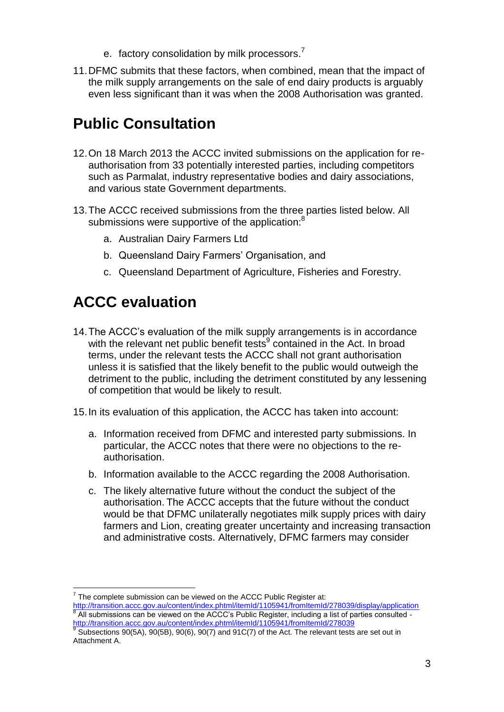- e. factory consolidation by milk processors.<sup>7</sup>
- 11.DFMC submits that these factors, when combined, mean that the impact of the milk supply arrangements on the sale of end dairy products is arguably even less significant than it was when the 2008 Authorisation was granted.

# **Public Consultation**

- 12.On 18 March 2013 the ACCC invited submissions on the application for reauthorisation from 33 potentially interested parties, including competitors such as Parmalat, industry representative bodies and dairy associations, and various state Government departments.
- 13.The ACCC received submissions from the three parties listed below. All submissions were supportive of the application:<sup>8</sup>
	- a. Australian Dairy Farmers Ltd
	- b. Queensland Dairy Farmers' Organisation, and
	- c. Queensland Department of Agriculture, Fisheries and Forestry.

# **ACCC evaluation**

14.The ACCC's evaluation of the milk supply arrangements is in accordance with the relevant net public benefit tests<sup>9</sup> contained in the Act. In broad terms, under the relevant tests the ACCC shall not grant authorisation unless it is satisfied that the likely benefit to the public would outweigh the detriment to the public, including the detriment constituted by any lessening of competition that would be likely to result.

15.In its evaluation of this application, the ACCC has taken into account:

- a. Information received from DFMC and interested party submissions. In particular, the ACCC notes that there were no objections to the reauthorisation.
- b. Information available to the ACCC regarding the 2008 Authorisation.
- c. The likely alternative future without the conduct the subject of the authorisation. The ACCC accepts that the future without the conduct would be that DFMC unilaterally negotiates milk supply prices with dairy farmers and Lion, creating greater uncertainty and increasing transaction and administrative costs. Alternatively, DFMC farmers may consider

l  $7$  The complete submission can be viewed on the ACCC Public Register at:

<http://transition.accc.gov.au/content/index.phtml/itemId/1105941/fromItemId/278039/display/application><br><sup>8</sup> All oubmissions sep he viewed on the ACCC's Public Pegister, including a list of perties sepaulted All submissions can be viewed on the ACCC's Public Register, including a list of parties consulted <http://transition.accc.gov.au/content/index.phtml/itemId/1105941/fromItemId/278039> 9

Subsections 90(5A), 90(5B), 90(6), 90(7) and 91C(7) of the Act. The relevant tests are set out in Attachment A.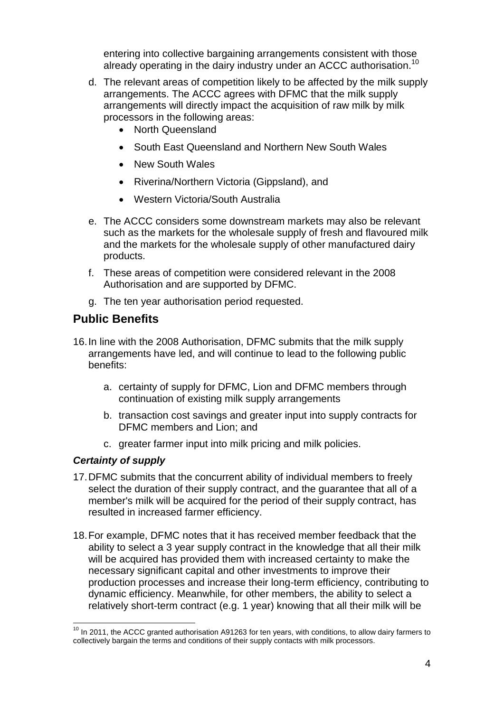entering into collective bargaining arrangements consistent with those already operating in the dairy industry under an ACCC authorisation.<sup>10</sup>

- d. The relevant areas of competition likely to be affected by the milk supply arrangements. The ACCC agrees with DFMC that the milk supply arrangements will directly impact the acquisition of raw milk by milk processors in the following areas:
	- North Queensland
	- South East Queensland and Northern New South Wales
	- New South Wales
	- Riverina/Northern Victoria (Gippsland), and
	- Western Victoria/South Australia
- e. The ACCC considers some downstream markets may also be relevant such as the markets for the wholesale supply of fresh and flavoured milk and the markets for the wholesale supply of other manufactured dairy products.
- f. These areas of competition were considered relevant in the 2008 Authorisation and are supported by DFMC.
- g. The ten year authorisation period requested.

## **Public Benefits**

- 16.In line with the 2008 Authorisation, DFMC submits that the milk supply arrangements have led, and will continue to lead to the following public benefits:
	- a. certainty of supply for DFMC, Lion and DFMC members through continuation of existing milk supply arrangements
	- b. transaction cost savings and greater input into supply contracts for DFMC members and Lion; and
	- c. greater farmer input into milk pricing and milk policies.

#### *Certainty of supply*

- 17.DFMC submits that the concurrent ability of individual members to freely select the duration of their supply contract, and the guarantee that all of a member's milk will be acquired for the period of their supply contract, has resulted in increased farmer efficiency.
- 18.For example, DFMC notes that it has received member feedback that the ability to select a 3 year supply contract in the knowledge that all their milk will be acquired has provided them with increased certainty to make the necessary significant capital and other investments to improve their production processes and increase their long-term efficiency, contributing to dynamic efficiency. Meanwhile, for other members, the ability to select a relatively short-term contract (e.g. 1 year) knowing that all their milk will be

l  $10$  In 2011, the ACCC granted authorisation A91263 for ten years, with conditions, to allow dairy farmers to collectively bargain the terms and conditions of their supply contacts with milk processors.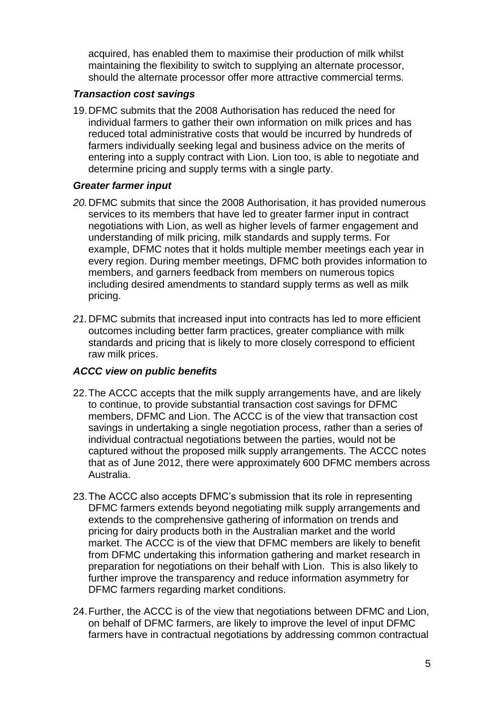acquired, has enabled them to maximise their production of milk whilst maintaining the flexibility to switch to supplying an alternate processor, should the alternate processor offer more attractive commercial terms.

#### *Transaction cost savings*

19.DFMC submits that the 2008 Authorisation has reduced the need for individual farmers to gather their own information on milk prices and has reduced total administrative costs that would be incurred by hundreds of farmers individually seeking legal and business advice on the merits of entering into a supply contract with Lion. Lion too, is able to negotiate and determine pricing and supply terms with a single party.

#### *Greater farmer input*

- *20.*DFMC submits that since the 2008 Authorisation, it has provided numerous services to its members that have led to greater farmer input in contract negotiations with Lion, as well as higher levels of farmer engagement and understanding of milk pricing, milk standards and supply terms. For example, DFMC notes that it holds multiple member meetings each year in every region. During member meetings, DFMC both provides information to members, and garners feedback from members on numerous topics including desired amendments to standard supply terms as well as milk pricing.
- *21.*DFMC submits that increased input into contracts has led to more efficient outcomes including better farm practices, greater compliance with milk standards and pricing that is likely to more closely correspond to efficient raw milk prices.

#### *ACCC view on public benefits*

- 22.The ACCC accepts that the milk supply arrangements have, and are likely to continue, to provide substantial transaction cost savings for DFMC members, DFMC and Lion. The ACCC is of the view that transaction cost savings in undertaking a single negotiation process, rather than a series of individual contractual negotiations between the parties, would not be captured without the proposed milk supply arrangements. The ACCC notes that as of June 2012, there were approximately 600 DFMC members across Australia.
- 23.The ACCC also accepts DFMC's submission that its role in representing DFMC farmers extends beyond negotiating milk supply arrangements and extends to the comprehensive gathering of information on trends and pricing for dairy products both in the Australian market and the world market. The ACCC is of the view that DFMC members are likely to benefit from DFMC undertaking this information gathering and market research in preparation for negotiations on their behalf with Lion. This is also likely to further improve the transparency and reduce information asymmetry for DFMC farmers regarding market conditions.
- 24.Further, the ACCC is of the view that negotiations between DFMC and Lion, on behalf of DFMC farmers, are likely to improve the level of input DFMC farmers have in contractual negotiations by addressing common contractual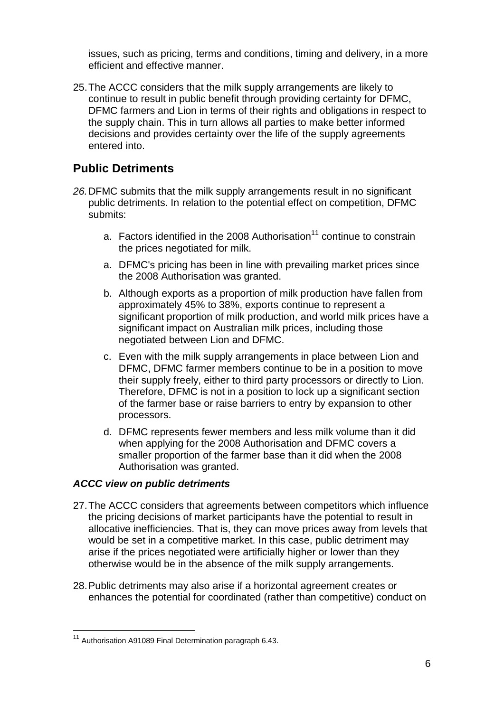issues, such as pricing, terms and conditions, timing and delivery, in a more efficient and effective manner.

25.The ACCC considers that the milk supply arrangements are likely to continue to result in public benefit through providing certainty for DFMC, DFMC farmers and Lion in terms of their rights and obligations in respect to the supply chain. This in turn allows all parties to make better informed decisions and provides certainty over the life of the supply agreements entered into.

## **Public Detriments**

- *26.*DFMC submits that the milk supply arrangements result in no significant public detriments. In relation to the potential effect on competition, DFMC submits:
	- a. Factors identified in the 2008 Authorisation<sup>11</sup> continue to constrain the prices negotiated for milk.
	- a. DFMC's pricing has been in line with prevailing market prices since the 2008 Authorisation was granted.
	- b. Although exports as a proportion of milk production have fallen from approximately 45% to 38%, exports continue to represent a significant proportion of milk production, and world milk prices have a significant impact on Australian milk prices, including those negotiated between Lion and DFMC.
	- c. Even with the milk supply arrangements in place between Lion and DFMC, DFMC farmer members continue to be in a position to move their supply freely, either to third party processors or directly to Lion. Therefore, DFMC is not in a position to lock up a significant section of the farmer base or raise barriers to entry by expansion to other processors.
	- d. DFMC represents fewer members and less milk volume than it did when applying for the 2008 Authorisation and DFMC covers a smaller proportion of the farmer base than it did when the 2008 Authorisation was granted.

#### *ACCC view on public detriments*

- 27.The ACCC considers that agreements between competitors which influence the pricing decisions of market participants have the potential to result in allocative inefficiencies. That is, they can move prices away from levels that would be set in a competitive market. In this case, public detriment may arise if the prices negotiated were artificially higher or lower than they otherwise would be in the absence of the milk supply arrangements.
- 28.Public detriments may also arise if a horizontal agreement creates or enhances the potential for coordinated (rather than competitive) conduct on

l <sup>11</sup> Authorisation A91089 Final Determination paragraph 6.43.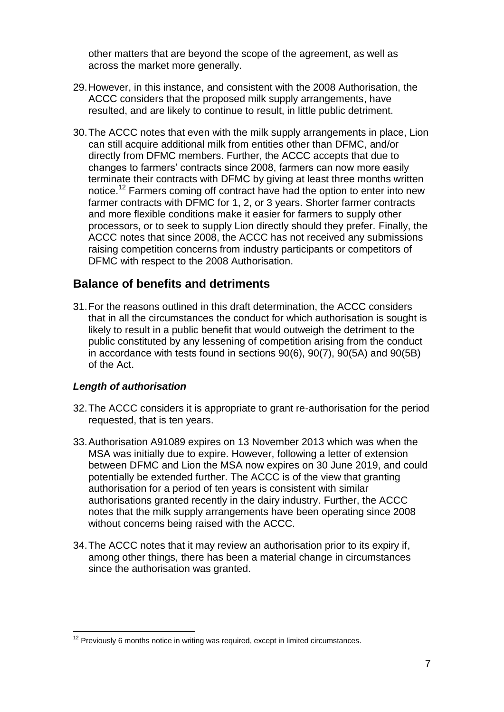other matters that are beyond the scope of the agreement, as well as across the market more generally.

- 29.However, in this instance, and consistent with the 2008 Authorisation, the ACCC considers that the proposed milk supply arrangements, have resulted, and are likely to continue to result, in little public detriment.
- 30.The ACCC notes that even with the milk supply arrangements in place, Lion can still acquire additional milk from entities other than DFMC, and/or directly from DFMC members. Further, the ACCC accepts that due to changes to farmers' contracts since 2008, farmers can now more easily terminate their contracts with DFMC by giving at least three months written notice.<sup>12</sup> Farmers coming off contract have had the option to enter into new farmer contracts with DFMC for 1, 2, or 3 years. Shorter farmer contracts and more flexible conditions make it easier for farmers to supply other processors, or to seek to supply Lion directly should they prefer. Finally, the ACCC notes that since 2008, the ACCC has not received any submissions raising competition concerns from industry participants or competitors of DFMC with respect to the 2008 Authorisation.

### **Balance of benefits and detriments**

31.For the reasons outlined in this draft determination, the ACCC considers that in all the circumstances the conduct for which authorisation is sought is likely to result in a public benefit that would outweigh the detriment to the public constituted by any lessening of competition arising from the conduct in accordance with tests found in sections 90(6), 90(7), 90(5A) and 90(5B) of the Act.

#### *Length of authorisation*

l

- 32.The ACCC considers it is appropriate to grant re-authorisation for the period requested, that is ten years.
- 33.Authorisation A91089 expires on 13 November 2013 which was when the MSA was initially due to expire. However, following a letter of extension between DFMC and Lion the MSA now expires on 30 June 2019, and could potentially be extended further. The ACCC is of the view that granting authorisation for a period of ten years is consistent with similar authorisations granted recently in the dairy industry. Further, the ACCC notes that the milk supply arrangements have been operating since 2008 without concerns being raised with the ACCC.
- 34.The ACCC notes that it may review an authorisation prior to its expiry if, among other things, there has been a material change in circumstances since the authorisation was granted.

 $12$  Previously 6 months notice in writing was required, except in limited circumstances.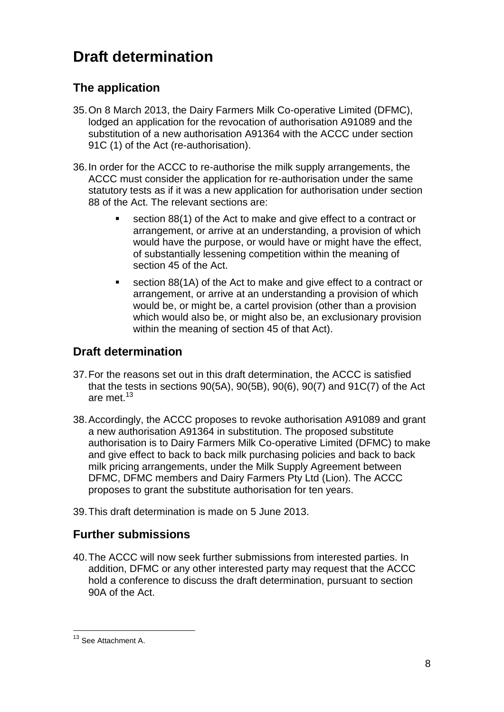# **Draft determination**

# **The application**

- 35.On 8 March 2013, the Dairy Farmers Milk Co-operative Limited (DFMC), lodged an application for the revocation of authorisation A91089 and the substitution of a new authorisation A91364 with the ACCC under section 91C (1) of the Act (re-authorisation).
- 36.In order for the ACCC to re-authorise the milk supply arrangements, the ACCC must consider the application for re-authorisation under the same statutory tests as if it was a new application for authorisation under section 88 of the Act. The relevant sections are:
	- section 88(1) of the Act to make and give effect to a contract or arrangement, or arrive at an understanding, a provision of which would have the purpose, or would have or might have the effect, of substantially lessening competition within the meaning of section 45 of the Act.
	- section 88(1A) of the Act to make and give effect to a contract or arrangement, or arrive at an understanding a provision of which would be, or might be, a cartel provision (other than a provision which would also be, or might also be, an exclusionary provision within the meaning of section 45 of that Act).

# **Draft determination**

- 37.For the reasons set out in this draft determination, the ACCC is satisfied that the tests in sections 90(5A), 90(5B), 90(6), 90(7) and 91C(7) of the Act are met.<sup>13</sup>
- 38.Accordingly, the ACCC proposes to revoke authorisation A91089 and grant a new authorisation A91364 in substitution. The proposed substitute authorisation is to Dairy Farmers Milk Co-operative Limited (DFMC) to make and give effect to back to back milk purchasing policies and back to back milk pricing arrangements, under the Milk Supply Agreement between DFMC, DFMC members and Dairy Farmers Pty Ltd (Lion). The ACCC proposes to grant the substitute authorisation for ten years.
- 39.This draft determination is made on 5 June 2013.

# **Further submissions**

40.The ACCC will now seek further submissions from interested parties. In addition, DFMC or any other interested party may request that the ACCC hold a conference to discuss the draft determination, pursuant to section 90A of the Act.

l <sup>13</sup> See Attachment A.